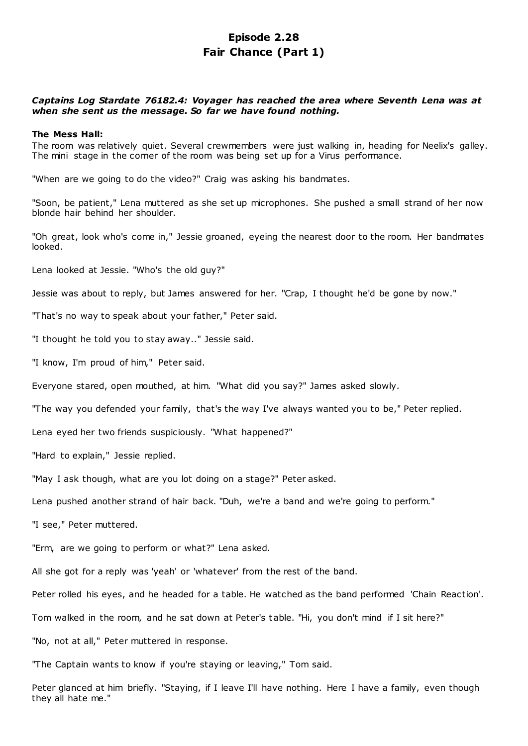# **Episode 2.28 Fair Chance (Part 1)**

# *Captains Log Stardate 76182.4: Voyager has reached the area where Seventh Lena was at when she sent us the message. So far we have found nothing.*

#### **The Mess Hall:**

The room was relatively quiet. Several crewmembers were just walking in, heading for Neelix's galley. The mini stage in the corner of the room was being set up for a Virus performance.

"When are we going to do the video?" Craig was asking his bandmates.

"Soon, be patient," Lena muttered as she set up microphones. She pushed a small strand of her now blonde hair behind her shoulder.

"Oh great, look who's come in," Jessie groaned, eyeing the nearest door to the room. Her bandmates looked.

Lena looked at Jessie. "Who's the old guy?"

Jessie was about to reply, but James answered for her. "Crap, I thought he'd be gone by now."

"That's no way to speak about your father," Peter said.

"I thought he told you to stay away.." Jessie said.

"I know, I'm proud of him," Peter said.

Everyone stared, open mouthed, at him. "What did you say?" James asked slowly.

"The way you defended your family, that's the way I've always wanted you to be," Peter replied.

Lena eyed her two friends suspiciously. "What happened?"

"Hard to explain," Jessie replied.

"May I ask though, what are you lot doing on a stage?" Peter asked.

Lena pushed another strand of hair back. "Duh, we're a band and we're going to perform."

"I see," Peter muttered.

"Erm, are we going to perform or what?" Lena asked.

All she got for a reply was 'yeah' or 'whatever' from the rest of the band.

Peter rolled his eyes, and he headed for a table. He watched as the band performed 'Chain Reaction'.

Tom walked in the room, and he sat down at Peter's table. "Hi, you don't mind if I sit here?"

"No, not at all," Peter muttered in response.

"The Captain wants to know if you're staying or leaving," Tom said.

Peter glanced at him briefly. "Staying, if I leave I'll have nothing. Here I have a family, even though they all hate me."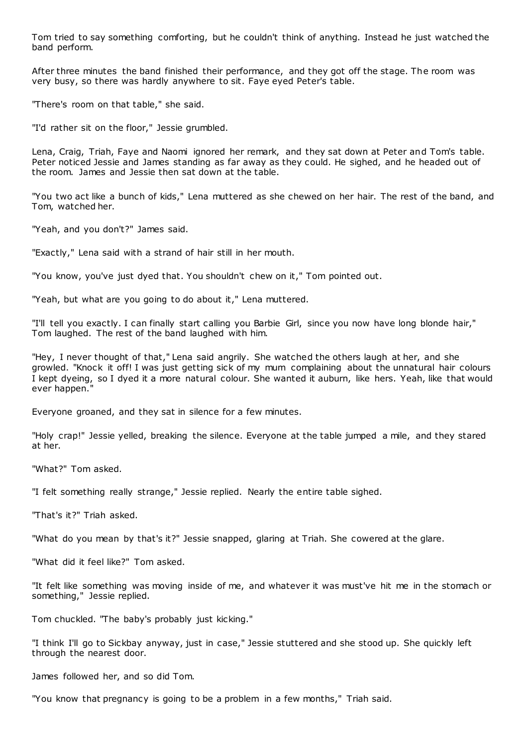Tom tried to say something comforting, but he couldn't think of anything. Instead he just watched the band perform.

After three minutes the band finished their performance, and they got off the stage. The room was very busy, so there was hardly anywhere to sit. Faye eyed Peter's table.

"There's room on that table," she said.

"I'd rather sit on the floor," Jessie grumbled.

Lena, Craig, Triah, Faye and Naomi ignored her remark, and they sat down at Peter and Tom's table. Peter noticed Jessie and James standing as far away as they could. He sighed, and he headed out of the room. James and Jessie then sat down at the table.

"You two act like a bunch of kids," Lena muttered as she chewed on her hair. The rest of the band, and Tom, watched her.

"Yeah, and you don't?" James said.

"Exactly," Lena said with a strand of hair still in her mouth.

"You know, you've just dyed that. You shouldn't chew on it," Tom pointed out.

"Yeah, but what are you going to do about it," Lena muttered.

"I'll tell you exactly. I can finally start calling you Barbie Girl, since you now have long blonde hair," Tom laughed. The rest of the band laughed with him.

"Hey, I never thought of that," Lena said angrily. She watched the others laugh at her, and she growled. "Knock it off! I was just getting sick of my mum complaining about the unnatural hair colours I kept dyeing, so I dyed it a more natural colour. She wanted it auburn, like hers. Yeah, like that would ever happen."

Everyone groaned, and they sat in silence for a few minutes.

"Holy crap!" Jessie yelled, breaking the silence. Everyone at the table jumped a mile, and they stared at her.

"What?" Tom asked.

"I felt something really strange," Jessie replied. Nearly the entire table sighed.

"That's it?" Triah asked.

"What do you mean by that's it?" Jessie snapped, glaring at Triah. She cowered at the glare.

"What did it feel like?" Tom asked.

"It felt like something was moving inside of me, and whatever it was must've hit me in the stomach or something," Jessie replied.

Tom chuckled. "The baby's probably just kicking."

"I think I'll go to Sickbay anyway, just in case," Jessie stuttered and she stood up. She quickly left through the nearest door.

James followed her, and so did Tom.

"You know that pregnancy is going to be a problem in a few months," Triah said.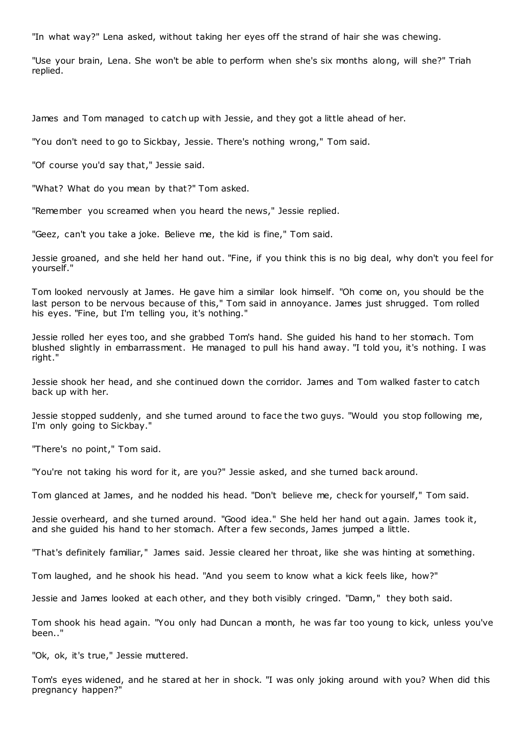"In what way?" Lena asked, without taking her eyes off the strand of hair she was chewing.

"Use your brain, Lena. She won't be able to perform when she's six months along, will she?" Triah replied.

James and Tom managed to catch up with Jessie, and they got a little ahead of her.

"You don't need to go to Sickbay, Jessie. There's nothing wrong," Tom said.

"Of course you'd say that," Jessie said.

"What? What do you mean by that?" Tom asked.

"Remember you screamed when you heard the news," Jessie replied.

"Geez, can't you take a joke. Believe me, the kid is fine," Tom said.

Jessie groaned, and she held her hand out. "Fine, if you think this is no big deal, why don't you feel for yourself."

Tom looked nervously at James. He gave him a similar look himself. "Oh come on, you should be the last person to be nervous because of this," Tom said in annoyance. James just shrugged. Tom rolled his eyes. "Fine, but I'm telling you, it's nothing."

Jessie rolled her eyes too, and she grabbed Tom's hand. She guided his hand to her stomach. Tom blushed slightly in embarrassment. He managed to pull his hand away. "I told you, it's nothing. I was right."

Jessie shook her head, and she continued down the corridor. James and Tom walked faster to catch back up with her.

Jessie stopped suddenly, and she turned around to face the two guys. "Would you stop following me, I'm only going to Sickbay."

"There's no point," Tom said.

"You're not taking his word for it, are you?" Jessie asked, and she turned back around.

Tom glanced at James, and he nodded his head. "Don't believe me, check for yourself," Tom said.

Jessie overheard, and she turned around. "Good idea." She held her hand out again. James took it, and she guided his hand to her stomach. After a few seconds, James jumped a little.

"That's definitely familiar," James said. Jessie cleared her throat, like she was hinting at something.

Tom laughed, and he shook his head. "And you seem to know what a kick feels like, how?"

Jessie and James looked at each other, and they both visibly cringed. "Damn," they both said.

Tom shook his head again. "You only had Duncan a month, he was far too young to kick, unless you've been.."

"Ok, ok, it's true," Jessie muttered.

Tom's eyes widened, and he stared at her in shock. "I was only joking around with you? When did this pregnancy happen?"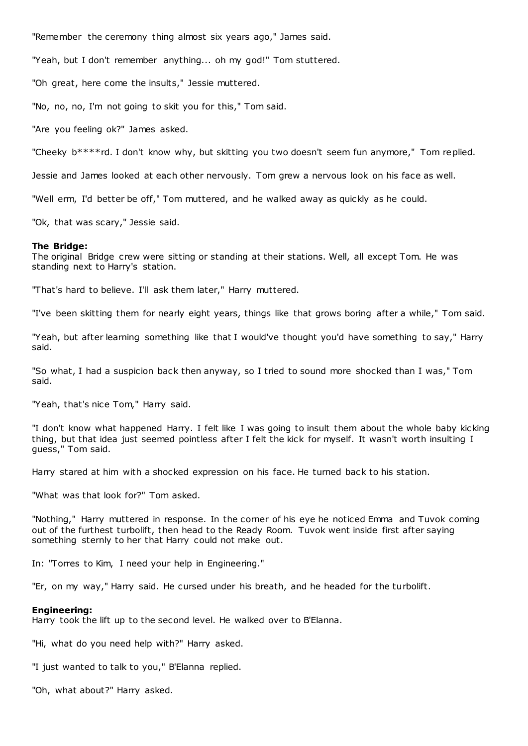"Remember the ceremony thing almost six years ago," James said.

"Yeah, but I don't remember anything... oh my god!" Tom stuttered.

"Oh great, here come the insults," Jessie muttered.

"No, no, no, I'm not going to skit you for this," Tom said.

"Are you feeling ok?" James asked.

"Cheeky b\*\*\*\*rd. I don't know why, but skitting you two doesn't seem fun anymore," Tom replied.

Jessie and James looked at each other nervously. Tom grew a nervous look on his face as well.

"Well erm, I'd better be off," Tom muttered, and he walked away as quickly as he could.

"Ok, that was scary," Jessie said.

#### **The Bridge:**

The original Bridge crew were sitting or standing at their stations. Well, all except Tom. He was standing next to Harry's station.

"That's hard to believe. I'll ask them later," Harry muttered.

"I've been skitting them for nearly eight years, things like that grows boring after a while," Tom said.

"Yeah, but after learning something like that I would've thought you'd have something to say," Harry said.

"So what, I had a suspicion back then anyway, so I tried to sound more shocked than I was," Tom said.

"Yeah, that's nice Tom," Harry said.

"I don't know what happened Harry. I felt like I was going to insult them about the whole baby kicking thing, but that idea just seemed pointless after I felt the kick for myself. It wasn't worth insulting I guess," Tom said.

Harry stared at him with a shocked expression on his face. He turned back to his station.

"What was that look for?" Tom asked.

"Nothing," Harry muttered in response. In the corner of his eye he noticed Emma and Tuvok coming out of the furthest turbolift, then head to the Ready Room. Tuvok went inside first after saying something sternly to her that Harry could not make out.

In: "Torres to Kim, I need your help in Engineering."

"Er, on my way," Harry said. He cursed under his breath, and he headed for the turbolift.

#### **Engineering:**

Harry took the lift up to the second level. He walked over to B'Elanna.

"Hi, what do you need help with?" Harry asked.

"I just wanted to talk to you," B'Elanna replied.

"Oh, what about?" Harry asked.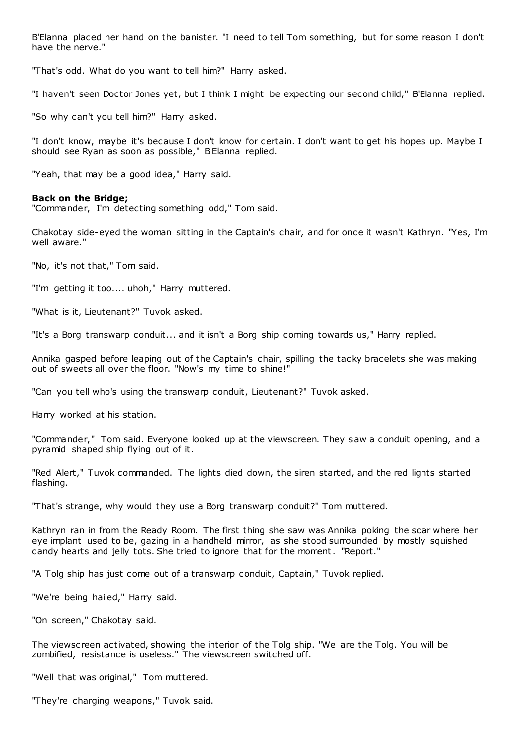B'Elanna placed her hand on the banister. "I need to tell Tom something, but for some reason I don't have the nerve."

"That's odd. What do you want to tell him?" Harry asked.

"I haven't seen Doctor Jones yet, but I think I might be expecting our second child," B'Elanna replied.

"So why can't you tell him?" Harry asked.

"I don't know, maybe it's because I don't know for certain. I don't want to get his hopes up. Maybe I should see Ryan as soon as possible," B'Elanna replied.

"Yeah, that may be a good idea," Harry said.

## **Back on the Bridge;**

"Commander, I'm detecting something odd," Tom said.

Chakotay side-eyed the woman sitting in the Captain's chair, and for once it wasn't Kathryn. "Yes, I'm well aware."

"No, it's not that," Tom said.

"I'm getting it too.... uhoh," Harry muttered.

"What is it, Lieutenant?" Tuvok asked.

"It's a Borg transwarp conduit... and it isn't a Borg ship coming towards us," Harry replied.

Annika gasped before leaping out of the Captain's chair, spilling the tacky bracelets she was making out of sweets all over the floor. "Now's my time to shine!"

"Can you tell who's using the transwarp conduit, Lieutenant?" Tuvok asked.

Harry worked at his station.

"Commander," Tom said. Everyone looked up at the viewscreen. They saw a conduit opening, and a pyramid shaped ship flying out of it.

"Red Alert," Tuvok commanded. The lights died down, the siren started, and the red lights started flashing.

"That's strange, why would they use a Borg transwarp conduit?" Tom muttered.

Kathryn ran in from the Ready Room. The first thing she saw was Annika poking the scar where her eye implant used to be, gazing in a handheld mirror, as she stood surrounded by mostly squished candy hearts and jelly tots. She tried to ignore that for the moment. "Report."

"A Tolg ship has just come out of a transwarp conduit, Captain," Tuvok replied.

"We're being hailed," Harry said.

"On screen," Chakotay said.

The viewscreen activated, showing the interior of the Tolg ship. "We are the Tolg. You will be zombified, resistance is useless." The viewscreen switched off.

"Well that was original," Tom muttered.

"They're charging weapons," Tuvok said.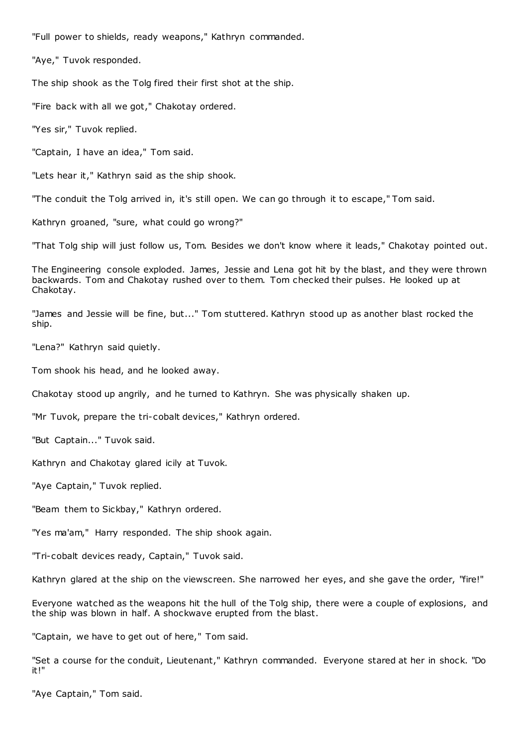"Full power to shields, ready weapons," Kathryn commanded.

"Aye," Tuvok responded.

The ship shook as the Tolg fired their first shot at the ship.

"Fire back with all we got," Chakotay ordered.

"Yes sir," Tuvok replied.

"Captain, I have an idea," Tom said.

"Lets hear it," Kathryn said as the ship shook.

"The conduit the Tolg arrived in, it's still open. We can go through it to escape," Tom said.

Kathryn groaned, "sure, what could go wrong?"

"That Tolg ship will just follow us, Tom. Besides we don't know where it leads," Chakotay pointed out.

The Engineering console exploded. James, Jessie and Lena got hit by the blast, and they were thrown backwards. Tom and Chakotay rushed over to them. Tom checked their pulses. He looked up at Chakotay.

"James and Jessie will be fine, but..." Tom stuttered. Kathryn stood up as another blast rocked the ship.

"Lena?" Kathryn said quietly.

Tom shook his head, and he looked away.

Chakotay stood up angrily, and he turned to Kathryn. She was physically shaken up.

"Mr Tuvok, prepare the tri-cobalt devices," Kathryn ordered.

"But Captain..." Tuvok said.

Kathryn and Chakotay glared icily at Tuvok.

"Aye Captain," Tuvok replied.

"Beam them to Sickbay," Kathryn ordered.

"Yes ma'am," Harry responded. The ship shook again.

"Tri-cobalt devices ready, Captain," Tuvok said.

Kathryn glared at the ship on the viewscreen. She narrowed her eyes, and she gave the order, "fire!"

Everyone watched as the weapons hit the hull of the Tolg ship, there were a couple of explosions, and the ship was blown in half. A shockwave erupted from the blast.

"Captain, we have to get out of here," Tom said.

"Set a course for the conduit, Lieutenant," Kathryn commanded. Everyone stared at her in shock. "Do it!"

"Aye Captain," Tom said.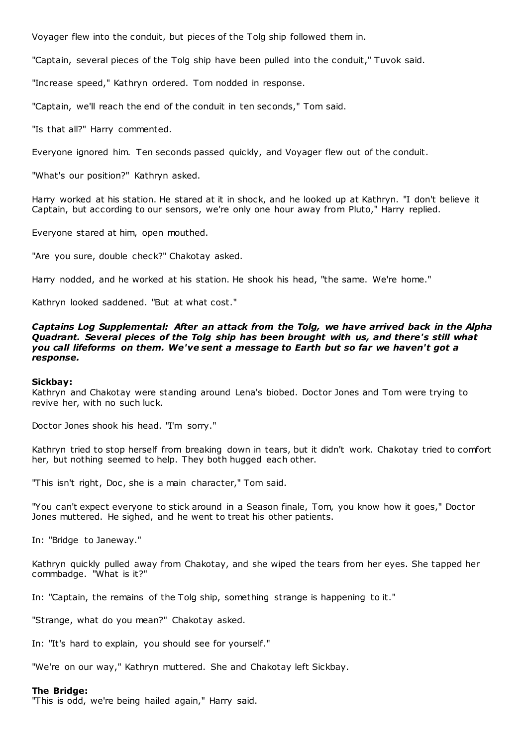Voyager flew into the conduit, but pieces of the Tolg ship followed them in.

"Captain, several pieces of the Tolg ship have been pulled into the conduit," Tuvok said.

"Increase speed," Kathryn ordered. Tom nodded in response.

"Captain, we'll reach the end of the conduit in ten seconds," Tom said.

"Is that all?" Harry commented.

Everyone ignored him. Ten seconds passed quickly, and Voyager flew out of the conduit.

"What's our position?" Kathryn asked.

Harry worked at his station. He stared at it in shock, and he looked up at Kathryn. "I don't believe it Captain, but according to our sensors, we're only one hour away from Pluto," Harry replied.

Everyone stared at him, open mouthed.

"Are you sure, double check?" Chakotay asked.

Harry nodded, and he worked at his station. He shook his head, "the same. We're home."

Kathryn looked saddened. "But at what cost."

*Captains Log Supplemental: After an attack from the Tolg, we have arrived back in the Alpha Quadrant. Several pieces of the Tolg ship has been brought with us, and there's still what you call lifeforms on them. We've sent a message to Earth but so far we haven't got a response.*

#### **Sickbay:**

Kathryn and Chakotay were standing around Lena's biobed. Doctor Jones and Tom were trying to revive her, with no such luck.

Doctor Jones shook his head. "I'm sorry."

Kathryn tried to stop herself from breaking down in tears, but it didn't work. Chakotay tried to comfort her, but nothing seemed to help. They both hugged each other.

"This isn't right, Doc, she is a main character," Tom said.

"You can't expect everyone to stick around in a Season finale, Tom, you know how it goes," Doctor Jones muttered. He sighed, and he went to treat his other patients.

In: "Bridge to Janeway."

Kathryn quickly pulled away from Chakotay, and she wiped the tears from her eyes. She tapped her commbadge. "What is it?"

In: "Captain, the remains of the Tolg ship, something strange is happening to it."

"Strange, what do you mean?" Chakotay asked.

In: "It's hard to explain, you should see for yourself."

"We're on our way," Kathryn muttered. She and Chakotay left Sickbay.

#### **The Bridge:**

"This is odd, we're being hailed again," Harry said.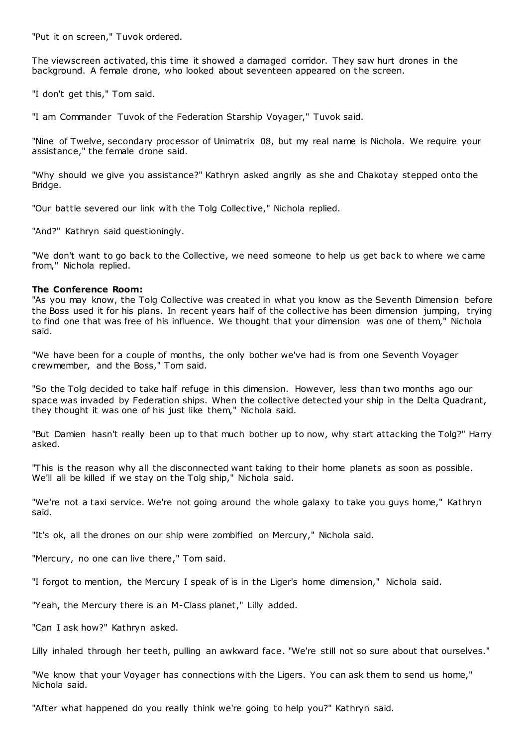"Put it on screen," Tuvok ordered.

The viewscreen activated, this time it showed a damaged corridor. They saw hurt drones in the background. A female drone, who looked about seventeen appeared on the screen.

"I don't get this," Tom said.

"I am Commander Tuvok of the Federation Starship Voyager," Tuvok said.

"Nine of Twelve, secondary processor of Unimatrix 08, but my real name is Nichola. We require your assistance," the female drone said.

"Why should we give you assistance?" Kathryn asked angrily as she and Chakotay stepped onto the Bridge.

"Our battle severed our link with the Tolg Collective," Nichola replied.

"And?" Kathryn said questioningly.

"We don't want to go back to the Collective, we need someone to help us get back to where we came from," Nichola replied.

## **The Conference Room:**

"As you may know, the Tolg Collective was created in what you know as the Seventh Dimension before the Boss used it for his plans. In recent years half of the collective has been dimension jumping, trying to find one that was free of his influence. We thought that your dimension was one of them," Nichola said.

"We have been for a couple of months, the only bother we've had is from one Seventh Voyager crewmember, and the Boss," Tom said.

"So the Tolg decided to take half refuge in this dimension. However, less than two months ago our space was invaded by Federation ships. When the collective detected your ship in the Delta Quadrant, they thought it was one of his just like them," Nichola said.

"But Damien hasn't really been up to that much bother up to now, why start attacking the Tolg?" Harry asked.

"This is the reason why all the disconnected want taking to their home planets as soon as possible. We'll all be killed if we stay on the Tolg ship," Nichola said.

"We're not a taxi service. We're not going around the whole galaxy to take you guys home," Kathryn said.

"It's ok, all the drones on our ship were zombified on Mercury," Nichola said.

"Mercury, no one can live there," Tom said.

"I forgot to mention, the Mercury I speak of is in the Liger's home dimension," Nichola said.

"Yeah, the Mercury there is an M-Class planet," Lilly added.

"Can I ask how?" Kathryn asked.

Lilly inhaled through her teeth, pulling an awkward face. "We're still not so sure about that ourselves."

"We know that your Voyager has connections with the Ligers. You can ask them to send us home," Nichola said.

"After what happened do you really think we're going to help you?" Kathryn said.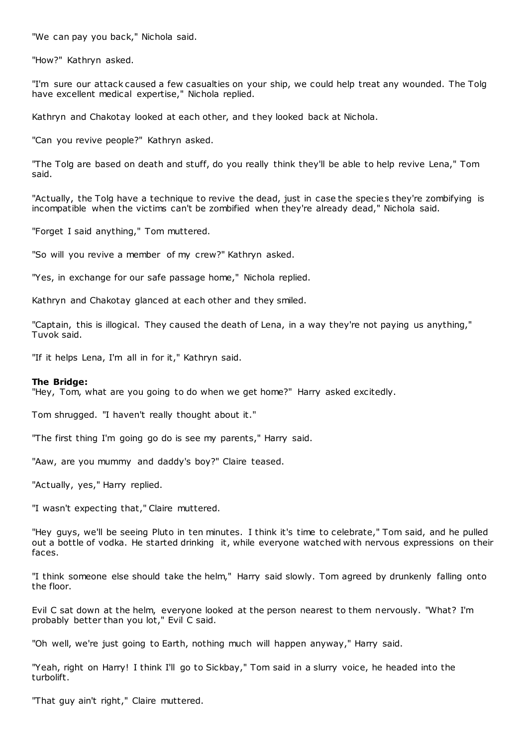"We can pay you back," Nichola said.

"How?" Kathryn asked.

"I'm sure our attack caused a few casualties on your ship, we could help treat any wounded. The Tolg have excellent medical expertise," Nichola replied.

Kathryn and Chakotay looked at each other, and they looked back at Nichola.

"Can you revive people?" Kathryn asked.

"The Tolg are based on death and stuff, do you really think they'll be able to help revive Lena," Tom said.

"Actually, the Tolg have a technique to revive the dead, just in case the species they're zombifying is incompatible when the victims can't be zombified when they're already dead," Nichola said.

"Forget I said anything," Tom muttered.

"So will you revive a member of my crew?" Kathryn asked.

"Yes, in exchange for our safe passage home," Nichola replied.

Kathryn and Chakotay glanced at each other and they smiled.

"Captain, this is illogical. They caused the death of Lena, in a way they're not paying us anything," Tuvok said.

"If it helps Lena, I'm all in for it," Kathryn said.

#### **The Bridge:**

"Hey, Tom, what are you going to do when we get home?" Harry asked excitedly.

Tom shrugged. "I haven't really thought about it."

"The first thing I'm going go do is see my parents," Harry said.

"Aaw, are you mummy and daddy's boy?" Claire teased.

"Actually, yes," Harry replied.

"I wasn't expecting that," Claire muttered.

"Hey guys, we'll be seeing Pluto in ten minutes. I think it's time to celebrate," Tom said, and he pulled out a bottle of vodka. He started drinking it, while everyone watched with nervous expressions on their faces.

"I think someone else should take the helm," Harry said slowly. Tom agreed by drunkenly falling onto the floor.

Evil C sat down at the helm, everyone looked at the person nearest to them nervously. "What? I'm probably better than you lot," Evil C said.

"Oh well, we're just going to Earth, nothing much will happen anyway," Harry said.

"Yeah, right on Harry! I think I'll go to Sickbay," Tom said in a slurry voice, he headed into the turbolift.

"That guy ain't right," Claire muttered.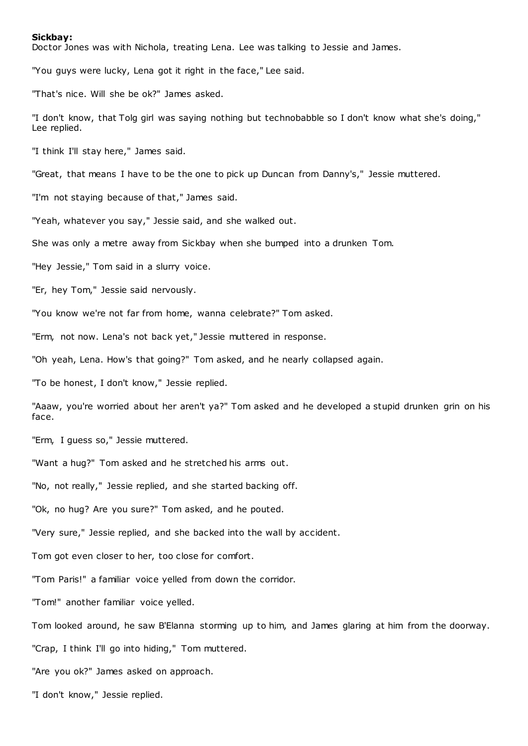#### **Sickbay:**

Doctor Jones was with Nichola, treating Lena. Lee was talking to Jessie and James.

"You guys were lucky, Lena got it right in the face," Lee said.

"That's nice. Will she be ok?" James asked.

"I don't know, that Tolg girl was saying nothing but technobabble so I don't know what she's doing," Lee replied.

"I think I'll stay here," James said.

"Great, that means I have to be the one to pick up Duncan from Danny's," Jessie muttered.

"I'm not staying because of that," James said.

"Yeah, whatever you say," Jessie said, and she walked out.

She was only a metre away from Sickbay when she bumped into a drunken Tom.

"Hey Jessie," Tom said in a slurry voice.

"Er, hey Tom," Jessie said nervously.

"You know we're not far from home, wanna celebrate?" Tom asked.

"Erm, not now. Lena's not back yet," Jessie muttered in response.

"Oh yeah, Lena. How's that going?" Tom asked, and he nearly collapsed again.

"To be honest, I don't know," Jessie replied.

"Aaaw, you're worried about her aren't ya?" Tom asked and he developed a stupid drunken grin on his face.

"Erm, I guess so," Jessie muttered.

"Want a hug?" Tom asked and he stretched his arms out.

"No, not really," Jessie replied, and she started backing off.

"Ok, no hug? Are you sure?" Tom asked, and he pouted.

"Very sure," Jessie replied, and she backed into the wall by accident.

Tom got even closer to her, too close for comfort.

"Tom Paris!" a familiar voice yelled from down the corridor.

"Tom!" another familiar voice yelled.

Tom looked around, he saw B'Elanna storming up to him, and James glaring at him from the doorway.

"Crap, I think I'll go into hiding," Tom muttered.

"Are you ok?" James asked on approach.

"I don't know," Jessie replied.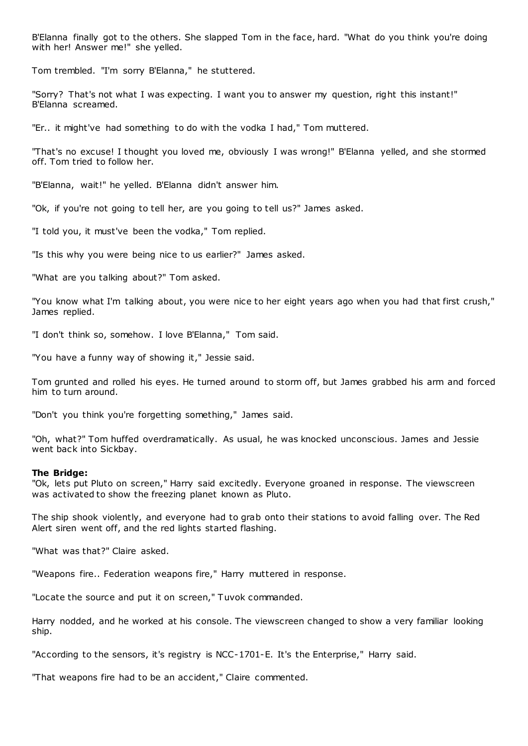B'Elanna finally got to the others. She slapped Tom in the face, hard. "What do you think you're doing with her! Answer me!" she yelled.

Tom trembled. "I'm sorry B'Elanna," he stuttered.

"Sorry? That's not what I was expecting. I want you to answer my question, right this instant!" B'Elanna screamed.

"Er.. it might've had something to do with the vodka I had," Tom muttered.

"That's no excuse! I thought you loved me, obviously I was wrong!" B'Elanna yelled, and she stormed off. Tom tried to follow her.

"B'Elanna, wait!" he yelled. B'Elanna didn't answer him.

"Ok, if you're not going to tell her, are you going to tell us?" James asked.

"I told you, it must've been the vodka," Tom replied.

"Is this why you were being nice to us earlier?" James asked.

"What are you talking about?" Tom asked.

"You know what I'm talking about, you were nice to her eight years ago when you had that first crush," James replied.

"I don't think so, somehow. I love B'Elanna," Tom said.

"You have a funny way of showing it," Jessie said.

Tom grunted and rolled his eyes. He turned around to storm off, but James grabbed his arm and forced him to turn around.

"Don't you think you're forgetting something," James said.

"Oh, what?" Tom huffed overdramatically. As usual, he was knocked unconscious. James and Jessie went back into Sickbay.

#### **The Bridge:**

"Ok, lets put Pluto on screen," Harry said excitedly. Everyone groaned in response. The viewscreen was activated to show the freezing planet known as Pluto.

The ship shook violently, and everyone had to grab onto their stations to avoid falling over. The Red Alert siren went off, and the red lights started flashing.

"What was that?" Claire asked.

"Weapons fire.. Federation weapons fire," Harry muttered in response.

"Locate the source and put it on screen," Tuvok commanded.

Harry nodded, and he worked at his console. The viewscreen changed to show a very familiar looking ship.

"According to the sensors, it's registry is NCC-1701-E. It's the Enterprise," Harry said.

"That weapons fire had to be an accident," Claire commented.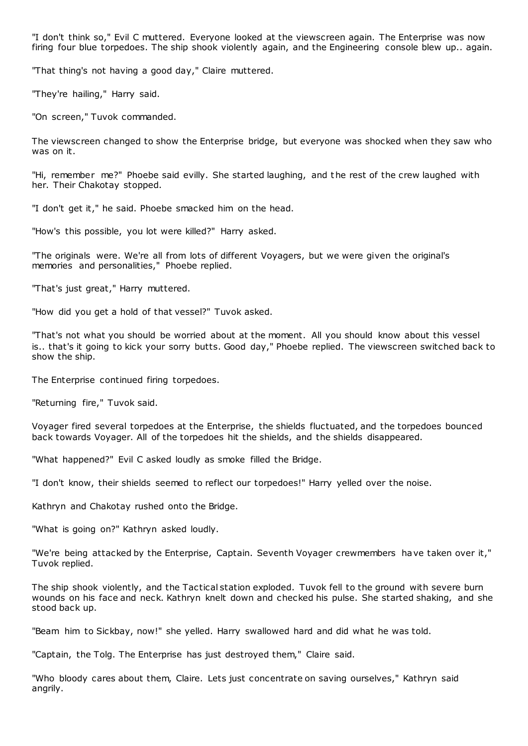"I don't think so," Evil C muttered. Everyone looked at the viewscreen again. The Enterprise was now firing four blue torpedoes. The ship shook violently again, and the Engineering console blew up.. again.

"That thing's not having a good day," Claire muttered.

"They're hailing," Harry said.

"On screen," Tuvok commanded.

The viewscreen changed to show the Enterprise bridge, but everyone was shocked when they saw who was on it.

"Hi, remember me?" Phoebe said evilly. She started laughing, and the rest of the crew laughed with her. Their Chakotay stopped.

"I don't get it," he said. Phoebe smacked him on the head.

"How's this possible, you lot were killed?" Harry asked.

"The originals were. We're all from lots of different Voyagers, but we were given the original's memories and personalities," Phoebe replied.

"That's just great," Harry muttered.

"How did you get a hold of that vessel?" Tuvok asked.

"That's not what you should be worried about at the moment. All you should know about this vessel is.. that's it going to kick your sorry butts. Good day," Phoebe replied. The viewscreen switched back to show the ship.

The Enterprise continued firing torpedoes.

"Returning fire," Tuvok said.

Voyager fired several torpedoes at the Enterprise, the shields fluctuated, and the torpedoes bounced back towards Voyager. All of the torpedoes hit the shields, and the shields disappeared.

"What happened?" Evil C asked loudly as smoke filled the Bridge.

"I don't know, their shields seemed to reflect our torpedoes!" Harry yelled over the noise.

Kathryn and Chakotay rushed onto the Bridge.

"What is going on?" Kathryn asked loudly.

"We're being attacked by the Enterprise, Captain. Seventh Voyager crewmembers have taken over it," Tuvok replied.

The ship shook violently, and the Tactical station exploded. Tuvok fell to the ground with severe burn wounds on his face and neck. Kathryn knelt down and checked his pulse. She started shaking, and she stood back up.

"Beam him to Sickbay, now!" she yelled. Harry swallowed hard and did what he was told.

"Captain, the Tolg. The Enterprise has just destroyed them," Claire said.

"Who bloody cares about them, Claire. Lets just concentrate on saving ourselves," Kathryn said angrily.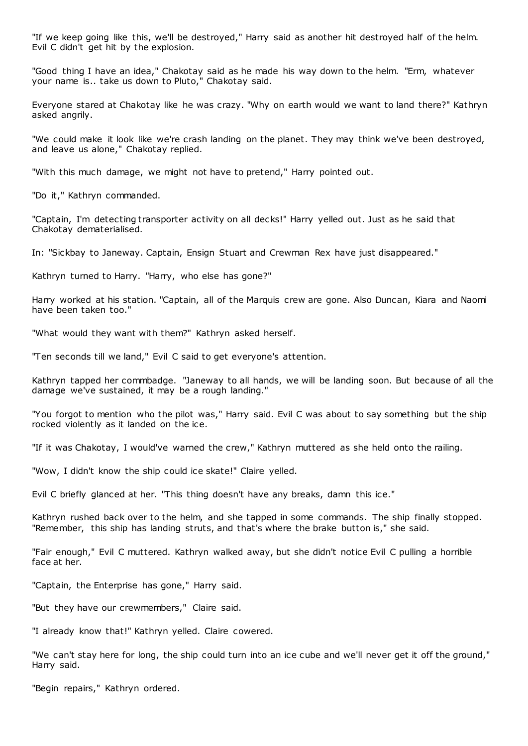"If we keep going like this, we'll be destroyed," Harry said as another hit destroyed half of the helm. Evil C didn't get hit by the explosion.

"Good thing I have an idea," Chakotay said as he made his way down to the helm. "Erm, whatever your name is.. take us down to Pluto," Chakotay said.

Everyone stared at Chakotay like he was crazy. "Why on earth would we want to land there?" Kathryn asked angrily.

"We could make it look like we're crash landing on the planet. They may think we've been destroyed, and leave us alone," Chakotay replied.

"With this much damage, we might not have to pretend," Harry pointed out.

"Do it," Kathryn commanded.

"Captain, I'm detecting transporter activity on all decks!" Harry yelled out. Just as he said that Chakotay dematerialised.

In: "Sickbay to Janeway. Captain, Ensign Stuart and Crewman Rex have just disappeared."

Kathryn turned to Harry. "Harry, who else has gone?"

Harry worked at his station. "Captain, all of the Marquis crew are gone. Also Duncan, Kiara and Naomi have been taken too."

"What would they want with them?" Kathryn asked herself.

"Ten seconds till we land," Evil C said to get everyone's attention.

Kathryn tapped her commbadge. "Janeway to all hands, we will be landing soon. But because of all the damage we've sustained, it may be a rough landing."

"You forgot to mention who the pilot was," Harry said. Evil C was about to say something but the ship rocked violently as it landed on the ice.

"If it was Chakotay, I would've warned the crew," Kathryn muttered as she held onto the railing.

"Wow, I didn't know the ship could ice skate!" Claire yelled.

Evil C briefly glanced at her. "This thing doesn't have any breaks, damn this ice."

Kathryn rushed back over to the helm, and she tapped in some commands. The ship finally stopped. "Remember, this ship has landing struts, and that's where the brake button is," she said.

"Fair enough," Evil C muttered. Kathryn walked away, but she didn't notice Evil C pulling a horrible face at her.

"Captain, the Enterprise has gone," Harry said.

"But they have our crewmembers," Claire said.

"I already know that!" Kathryn yelled. Claire cowered.

"We can't stay here for long, the ship could turn into an ice cube and we'll never get it off the ground," Harry said.

"Begin repairs," Kathryn ordered.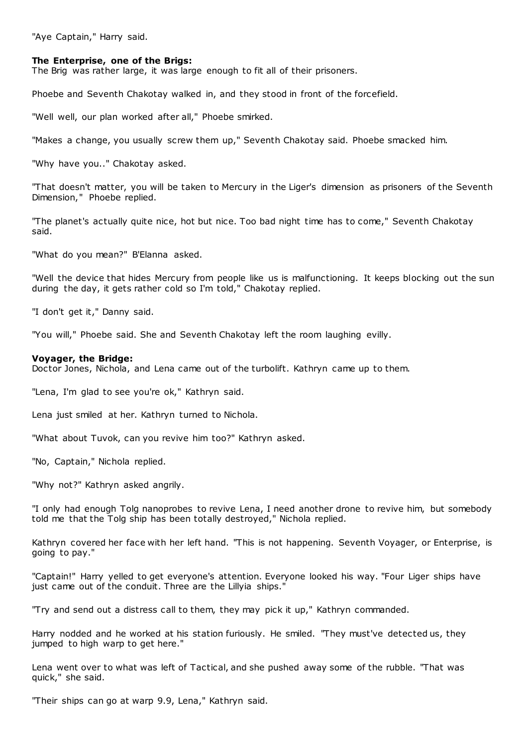"Aye Captain," Harry said.

### **The Enterprise, one of the Brigs:**

The Brig was rather large, it was large enough to fit all of their prisoners.

Phoebe and Seventh Chakotay walked in, and they stood in front of the forcefield.

"Well well, our plan worked after all," Phoebe smirked.

"Makes a change, you usually screw them up," Seventh Chakotay said. Phoebe smacked him.

"Why have you.." Chakotay asked.

"That doesn't matter, you will be taken to Mercury in the Liger's dimension as prisoners of the Seventh Dimension," Phoebe replied.

"The planet's actually quite nice, hot but nice. Too bad night time has to come," Seventh Chakotay said.

"What do you mean?" B'Elanna asked.

"Well the device that hides Mercury from people like us is malfunctioning. It keeps blocking out the sun during the day, it gets rather cold so I'm told," Chakotay replied.

"I don't get it," Danny said.

"You will," Phoebe said. She and Seventh Chakotay left the room laughing evilly.

#### **Voyager, the Bridge:**

Doctor Jones, Nichola, and Lena came out of the turbolift. Kathryn came up to them.

"Lena, I'm glad to see you're ok," Kathryn said.

Lena just smiled at her. Kathryn turned to Nichola.

"What about Tuvok, can you revive him too?" Kathryn asked.

"No, Captain," Nichola replied.

"Why not?" Kathryn asked angrily.

"I only had enough Tolg nanoprobes to revive Lena, I need another drone to revive him, but somebody told me that the Tolg ship has been totally destroyed," Nichola replied.

Kathryn covered her face with her left hand. "This is not happening. Seventh Voyager, or Enterprise, is going to pay."

"Captain!" Harry yelled to get everyone's attention. Everyone looked his way. "Four Liger ships have just came out of the conduit. Three are the Lillyia ships.'

"Try and send out a distress call to them, they may pick it up," Kathryn commanded.

Harry nodded and he worked at his station furiously. He smiled. "They must've detected us, they jumped to high warp to get here."

Lena went over to what was left of Tactical, and she pushed away some of the rubble. "That was quick," she said.

"Their ships can go at warp 9.9, Lena," Kathryn said.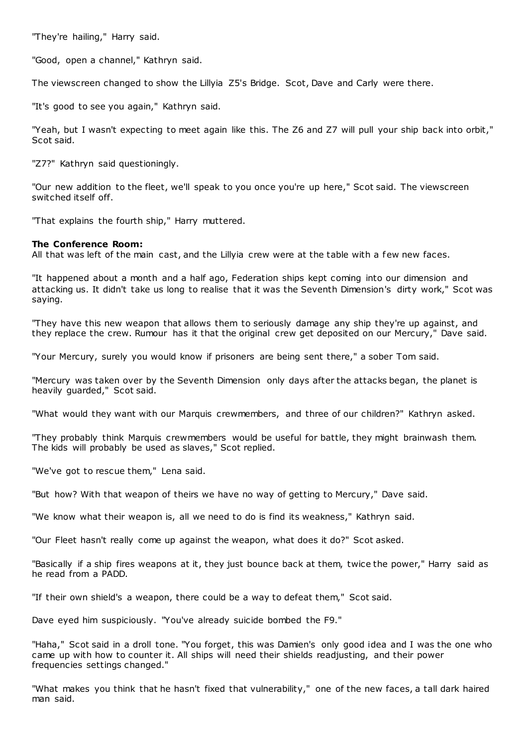"They're hailing," Harry said.

"Good, open a channel," Kathryn said.

The viewscreen changed to show the Lillyia Z5's Bridge. Scot, Dave and Carly were there.

"It's good to see you again," Kathryn said.

"Yeah, but I wasn't expecting to meet again like this. The Z6 and Z7 will pull your ship back into orbit," Scot said.

"Z7?" Kathryn said questioningly.

"Our new addition to the fleet, we'll speak to you once you're up here," Scot said. The viewscreen switched itself off.

"That explains the fourth ship," Harry muttered.

## **The Conference Room:**

All that was left of the main cast, and the Lillyia crew were at the table with a few new faces.

"It happened about a month and a half ago, Federation ships kept coming into our dimension and attacking us. It didn't take us long to realise that it was the Seventh Dimension's dirty work," Scot was saying.

"They have this new weapon that allows them to seriously damage any ship they're up against, and they replace the crew. Rumour has it that the original crew get deposited on our Mercury," Dave said.

"Your Mercury, surely you would know if prisoners are being sent there," a sober Tom said.

"Mercury was taken over by the Seventh Dimension only days after the attacks began, the planet is heavily guarded," Scot said.

"What would they want with our Marquis crewmembers, and three of our children?" Kathryn asked.

"They probably think Marquis crewmembers would be useful for battle, they might brainwash them. The kids will probably be used as slaves," Scot replied.

"We've got to rescue them," Lena said.

"But how? With that weapon of theirs we have no way of getting to Mercury," Dave said.

"We know what their weapon is, all we need to do is find its weakness," Kathryn said.

"Our Fleet hasn't really come up against the weapon, what does it do?" Scot asked.

"Basically if a ship fires weapons at it, they just bounce back at them, twice the power," Harry said as he read from a PADD.

"If their own shield's a weapon, there could be a way to defeat them," Scot said.

Dave eyed him suspiciously. "You've already suicide bombed the F9."

"Haha," Scot said in a droll tone. "You forget, this was Damien's only good idea and I was the one who came up with how to counter it. All ships will need their shields readjusting, and their power frequencies settings changed."

"What makes you think that he hasn't fixed that vulnerability," one of the new faces, a tall dark haired man said.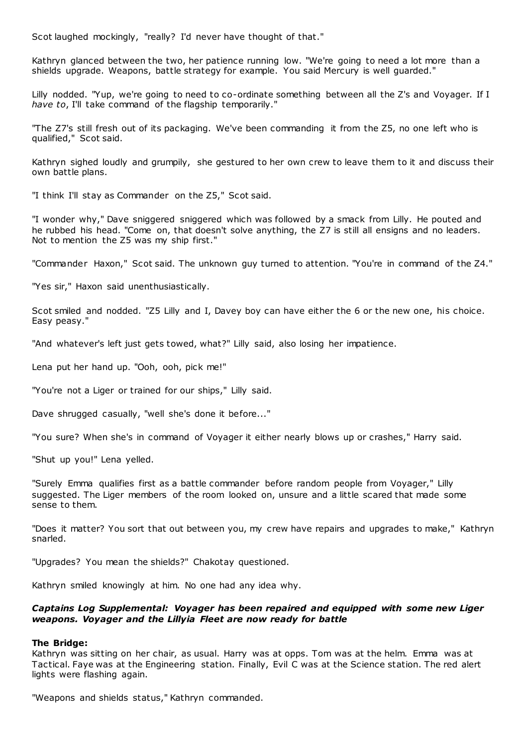Scot laughed mockingly, "really? I'd never have thought of that."

Kathryn glanced between the two, her patience running low. "We're going to need a lot more than a shields upgrade. Weapons, battle strategy for example. You said Mercury is well guarded."

Lilly nodded. "Yup, we're going to need to co-ordinate something between all the Z's and Voyager. If I *have to*, I'll take command of the flagship temporarily."

"The Z7's still fresh out of its packaging. We've been commanding it from the Z5, no one left who is qualified," Scot said.

Kathryn sighed loudly and grumpily, she gestured to her own crew to leave them to it and discuss their own battle plans.

"I think I'll stay as Commander on the Z5," Scot said.

"I wonder why," Dave sniggered sniggered which was followed by a smack from Lilly. He pouted and he rubbed his head. "Come on, that doesn't solve anything, the Z7 is still all ensigns and no leaders. Not to mention the Z5 was my ship first."

"Commander Haxon," Scot said. The unknown guy turned to attention. "You're in command of the Z4."

"Yes sir," Haxon said unenthusiastically.

Scot smiled and nodded. "Z5 Lilly and I, Davey boy can have either the 6 or the new one, his choice. Easy peasy."

"And whatever's left just gets towed, what?" Lilly said, also losing her impatience.

Lena put her hand up. "Ooh, ooh, pick me!"

"You're not a Liger or trained for our ships," Lilly said.

Dave shrugged casually, "well she's done it before..."

"You sure? When she's in command of Voyager it either nearly blows up or crashes," Harry said.

"Shut up you!" Lena yelled.

"Surely Emma qualifies first as a battle commander before random people from Voyager," Lilly suggested. The Liger members of the room looked on, unsure and a little scared that made some sense to them.

"Does it matter? You sort that out between you, my crew have repairs and upgrades to make," Kathryn snarled.

"Upgrades? You mean the shields?" Chakotay questioned.

Kathryn smiled knowingly at him. No one had any idea why.

# *Captains Log Supplemental: Voyager has been repaired and equipped with some new Liger weapons. Voyager and the Lillyia Fleet are now ready for battle*

## **The Bridge:**

Kathryn was sitting on her chair, as usual. Harry was at opps. Tom was at the helm. Emma was at Tactical. Faye was at the Engineering station. Finally, Evil C was at the Science station. The red alert lights were flashing again.

"Weapons and shields status," Kathryn commanded.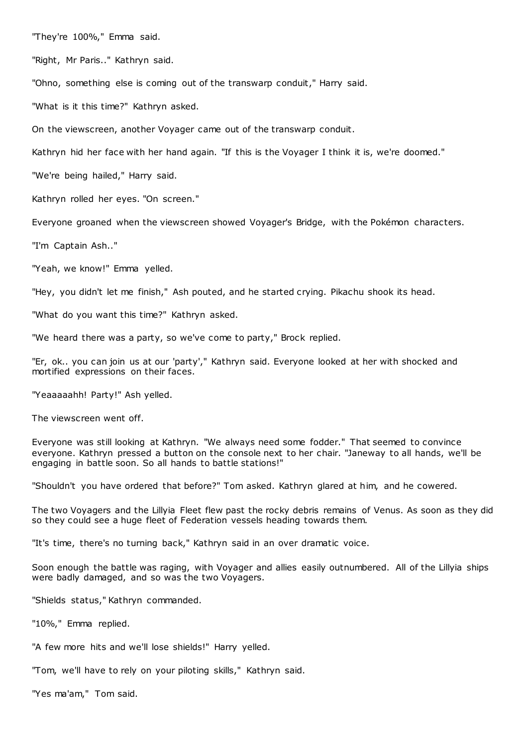"They're 100%," Emma said.

"Right, Mr Paris.." Kathryn said.

"Ohno, something else is coming out of the transwarp conduit," Harry said.

"What is it this time?" Kathryn asked.

On the viewscreen, another Voyager came out of the transwarp conduit.

Kathryn hid her face with her hand again. "If this is the Voyager I think it is, we're doomed."

"We're being hailed," Harry said.

Kathryn rolled her eyes. "On screen."

Everyone groaned when the viewscreen showed Voyager's Bridge, with the Pokémon characters.

"I'm Captain Ash.."

"Yeah, we know!" Emma yelled.

"Hey, you didn't let me finish," Ash pouted, and he started crying. Pikachu shook its head.

"What do you want this time?" Kathryn asked.

"We heard there was a party, so we've come to party," Brock replied.

"Er, ok.. you can join us at our 'party'," Kathryn said. Everyone looked at her with shocked and mortified expressions on their faces.

"Yeaaaaahh! Party!" Ash yelled.

The viewscreen went off.

Everyone was still looking at Kathryn. "We always need some fodder." That seemed to convince everyone. Kathryn pressed a button on the console next to her chair. "Janeway to all hands, we'll be engaging in battle soon. So all hands to battle stations!"

"Shouldn't you have ordered that before?" Tom asked. Kathryn glared at him, and he cowered.

The two Voyagers and the Lillyia Fleet flew past the rocky debris remains of Venus. As soon as they did so they could see a huge fleet of Federation vessels heading towards them.

"It's time, there's no turning back," Kathryn said in an over dramatic voice.

Soon enough the battle was raging, with Voyager and allies easily outnumbered. All of the Lillyia ships were badly damaged, and so was the two Voyagers.

"Shields status," Kathryn commanded.

"10%," Emma replied.

"A few more hits and we'll lose shields!" Harry yelled.

"Tom, we'll have to rely on your piloting skills," Kathryn said.

"Yes ma'am," Tom said.